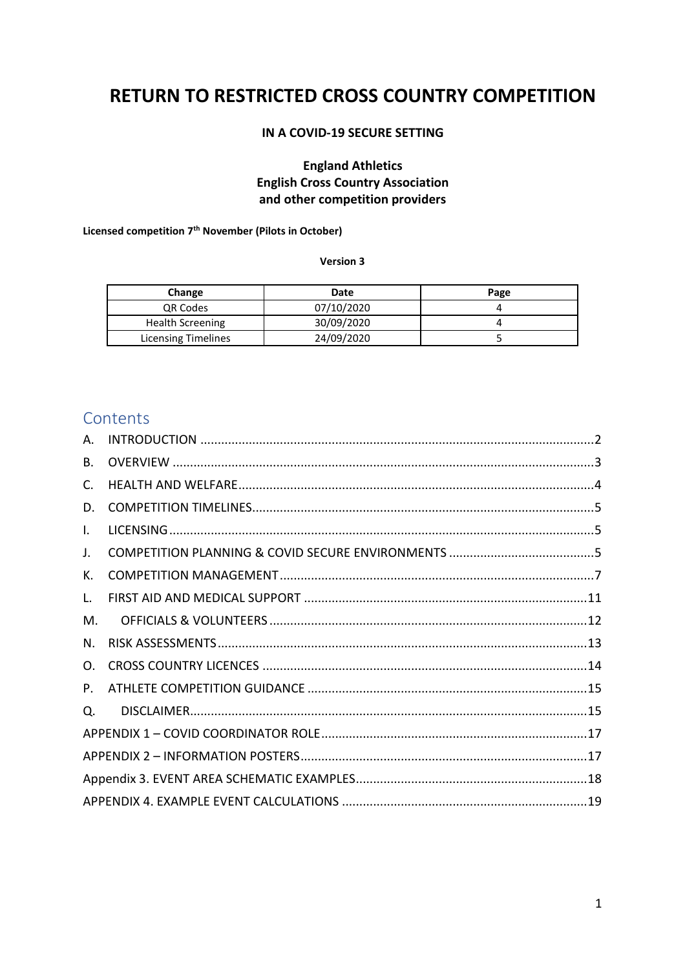# **RETURN TO RESTRICTED CROSS COUNTRY COMPETITION**

### **IN A COVID-19 SECURE SETTING**

### **England Athletics English Cross Country Association and other competition providers**

#### **Licensed competition 7th November (Pilots in October)**

#### **Version 3**

| Change                  | Date       | Page |  |  |
|-------------------------|------------|------|--|--|
| QR Codes                | 07/10/2020 |      |  |  |
| <b>Health Screening</b> | 30/09/2020 |      |  |  |
| Licensing Timelines     | 24/09/2020 |      |  |  |

# **Contents**

| А. |  |  |  |  |  |
|----|--|--|--|--|--|
| В. |  |  |  |  |  |
| C. |  |  |  |  |  |
| D. |  |  |  |  |  |
| I. |  |  |  |  |  |
| J. |  |  |  |  |  |
| К. |  |  |  |  |  |
| L. |  |  |  |  |  |
| M. |  |  |  |  |  |
| N. |  |  |  |  |  |
| O. |  |  |  |  |  |
| P. |  |  |  |  |  |
| O. |  |  |  |  |  |
|    |  |  |  |  |  |
|    |  |  |  |  |  |
|    |  |  |  |  |  |
|    |  |  |  |  |  |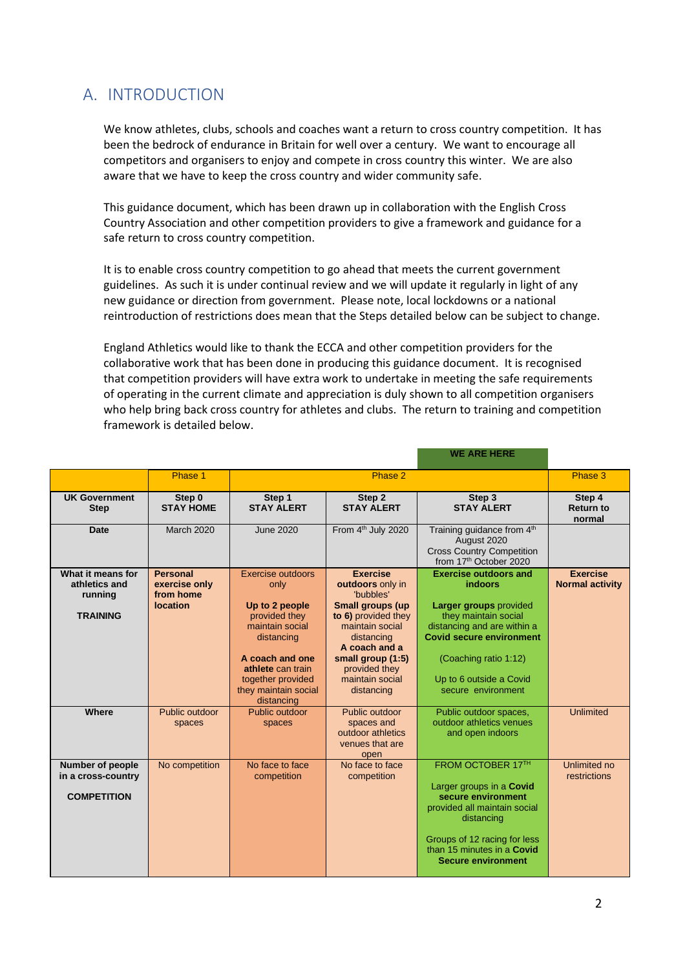# <span id="page-1-0"></span>A. INTRODUCTION

We know athletes, clubs, schools and coaches want a return to cross country competition. It has been the bedrock of endurance in Britain for well over a century. We want to encourage all competitors and organisers to enjoy and compete in cross country this winter. We are also aware that we have to keep the cross country and wider community safe.

This guidance document, which has been drawn up in collaboration with the English Cross Country Association and other competition providers to give a framework and guidance for a safe return to cross country competition.

It is to enable cross country competition to go ahead that meets the current government guidelines. As such it is under continual review and we will update it regularly in light of any new guidance or direction from government. Please note, local lockdowns or a national reintroduction of restrictions does mean that the Steps detailed below can be subject to change.

England Athletics would like to thank the ECCA and other competition providers for the collaborative work that has been done in producing this guidance document. It is recognised that competition providers will have extra work to undertake in meeting the safe requirements of operating in the current climate and appreciation is duly shown to all competition organisers who help bring back cross country for athletes and clubs. The return to training and competition framework is detailed below.

|                                                                     |                                                           |                                                                                                                                                                                                  |                                                                                                                                                                                                                             | <b>WE ARE HERE</b>                                                                                                                                                                                                                           |                                           |
|---------------------------------------------------------------------|-----------------------------------------------------------|--------------------------------------------------------------------------------------------------------------------------------------------------------------------------------------------------|-----------------------------------------------------------------------------------------------------------------------------------------------------------------------------------------------------------------------------|----------------------------------------------------------------------------------------------------------------------------------------------------------------------------------------------------------------------------------------------|-------------------------------------------|
|                                                                     | Phase 1                                                   |                                                                                                                                                                                                  | Phase 3                                                                                                                                                                                                                     |                                                                                                                                                                                                                                              |                                           |
| <b>UK Government</b><br><b>Step</b>                                 | Step 0<br><b>STAY HOME</b>                                | Step 1<br><b>STAY ALERT</b>                                                                                                                                                                      | Step 2<br><b>STAY ALERT</b>                                                                                                                                                                                                 | Step 3<br><b>STAY ALERT</b>                                                                                                                                                                                                                  | Step 4<br><b>Return to</b><br>normal      |
| <b>Date</b>                                                         | <b>March 2020</b>                                         | <b>June 2020</b>                                                                                                                                                                                 | From 4 <sup>th</sup> July 2020<br>Training guidance from 4th<br>August 2020<br><b>Cross Country Competition</b><br>from 17th October 2020                                                                                   |                                                                                                                                                                                                                                              |                                           |
| What it means for<br>athletics and<br>running<br><b>TRAINING</b>    | <b>Personal</b><br>exercise only<br>from home<br>location | Exercise outdoors<br>only<br>Up to 2 people<br>provided they<br>maintain social<br>distancing<br>A coach and one<br>athlete can train<br>together provided<br>they maintain social<br>distancing | <b>Exercise</b><br>outdoors only in<br>'bubbles'<br><b>Small groups (up</b><br>to 6) provided they<br>maintain social<br>distancing<br>A coach and a<br>small group (1:5)<br>provided they<br>maintain social<br>distancing | <b>Exercise outdoors and</b><br>indoors<br><b>Larger groups provided</b><br>they maintain social<br>distancing and are within a<br><b>Covid secure environment</b><br>(Coaching ratio 1:12)<br>Up to 6 outside a Covid<br>secure environment | <b>Exercise</b><br><b>Normal activity</b> |
| Where                                                               | Public outdoor<br>spaces                                  | Public outdoor<br>spaces                                                                                                                                                                         | Public outdoor<br>spaces and<br>outdoor athletics<br>venues that are<br>open                                                                                                                                                | Public outdoor spaces,<br>outdoor athletics venues<br>and open indoors                                                                                                                                                                       | <b>Unlimited</b>                          |
| <b>Number of people</b><br>in a cross-country<br><b>COMPETITION</b> | No competition                                            | No face to face<br>competition                                                                                                                                                                   | No face to face<br>competition                                                                                                                                                                                              | FROM OCTOBER 17TH<br>Larger groups in a Covid<br>secure environment<br>provided all maintain social<br>distancing<br>Groups of 12 racing for less<br>than 15 minutes in a Covid<br><b>Secure environment</b>                                 | Unlimited no<br>restrictions              |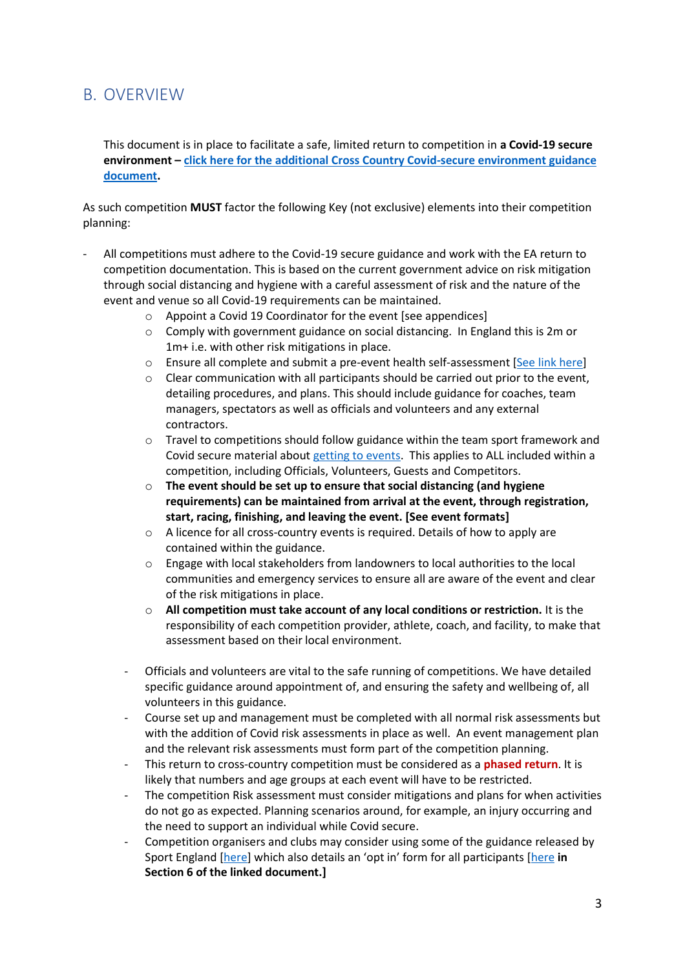# <span id="page-2-0"></span>B. OVERVIEW

This document is in place to facilitate a safe, limited return to competition in **a Covid-19 secure environment – [click here for the additional Cross Country Covid-secure environment guidance](https://www.englandathletics.org/athletics-and-running?media-alias=b515f99cc73d6cf8c6de)  [document.](https://www.englandathletics.org/athletics-and-running?media-alias=b515f99cc73d6cf8c6de)** 

As such competition **MUST** factor the following Key (not exclusive) elements into their competition planning:

- All competitions must adhere to the Covid-19 secure guidance and work with the EA return to competition documentation. This is based on the current government advice on risk mitigation through social distancing and hygiene with a careful assessment of risk and the nature of the event and venue so all Covid-19 requirements can be maintained.
	- o Appoint a Covid 19 Coordinator for the event [see appendices]
	- o Comply with government guidance on social distancing. In England this is 2m or 1m+ i.e. with other risk mitigations in place.
	- $\circ$  Ensure all complete and submit a pre-event health self-assessment [\[See link here\]](https://www.englandathletics.org/resources/view/health-declaration-form-example/?from=18)
	- o Clear communication with all participants should be carried out prior to the event, detailing procedures, and plans. This should include guidance for coaches, team managers, spectators as well as officials and volunteers and any external contractors.
	- $\circ$  Travel to competitions should follow guidance within the team sport framework and Covid secure material about [getting to events.](https://www.gov.uk/guidance/coronavirus-covid-19-safer-travel-guidance-for-passengers) This applies to ALL included within a competition, including Officials, Volunteers, Guests and Competitors.
	- o **The event should be set up to ensure that social distancing (and hygiene requirements) can be maintained from arrival at the event, through registration, start, racing, finishing, and leaving the event. [See event formats]**
	- $\circ$  A licence for all cross-country events is required. Details of how to apply are contained within the guidance.
	- o Engage with local stakeholders from landowners to local authorities to the local communities and emergency services to ensure all are aware of the event and clear of the risk mitigations in place.
	- o **All competition must take account of any local conditions or restriction.** It is the responsibility of each competition provider, athlete, coach, and facility, to make that assessment based on their local environment.
	- Officials and volunteers are vital to the safe running of competitions. We have detailed specific guidance around appointment of, and ensuring the safety and wellbeing of, all volunteers in this guidance.
	- Course set up and management must be completed with all normal risk assessments but with the addition of Covid risk assessments in place as well. An event management plan and the relevant risk assessments must form part of the competition planning.
	- This return to cross-country competition must be considered as a **phased return**. It is likely that numbers and age groups at each event will have to be restricted.
	- The competition Risk assessment must consider mitigations and plans for when activities do not go as expected. Planning scenarios around, for example, an injury occurring and the need to support an individual while Covid secure.
	- Competition organisers and clubs may consider using some of the guidance released by Sport England [\[here](https://www.sportengland.org/how-we-can-help/coronavirus/return-play)] which also details an 'opt in' form for all participants [[here](https://sportengland-production-files.s3.eu-west-2.amazonaws.com/s3fs-public/2020-06/Legal%20risks%20and%20duties%20of%20care%20when%20returning%20to%20play.pdf?M6px4v48Im3EijY0QBAe8mkOMcBDBPfh) **in Section 6 of the linked document.]**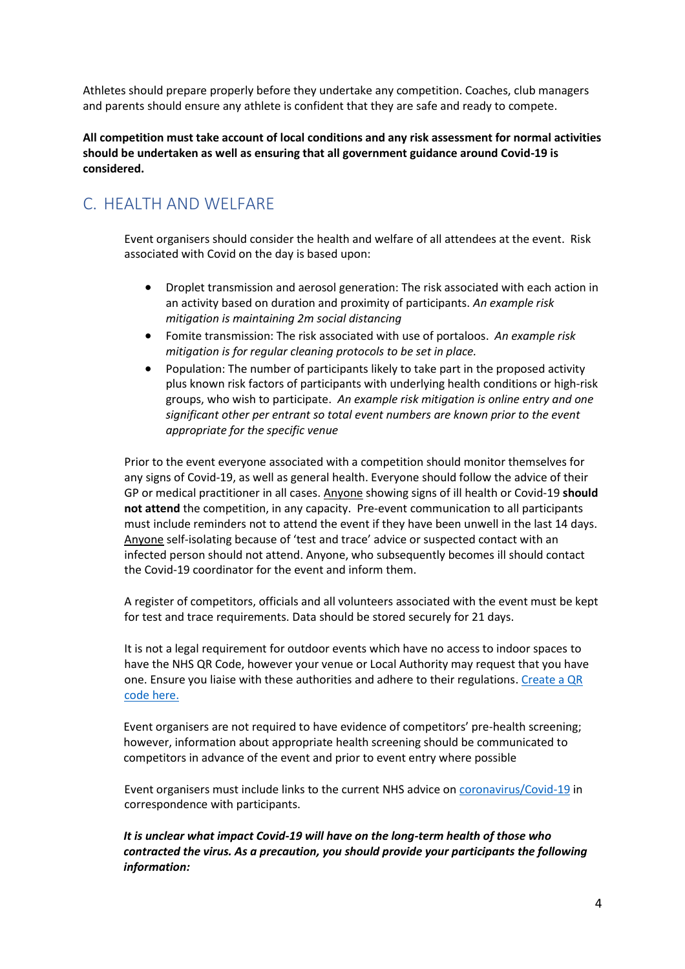Athletes should prepare properly before they undertake any competition. Coaches, club managers and parents should ensure any athlete is confident that they are safe and ready to compete.

**All competition must take account of local conditions and any risk assessment for normal activities should be undertaken as well as ensuring that all government guidance around Covid-19 is considered.** 

# <span id="page-3-0"></span>C. HEALTH AND WELFARE

Event organisers should consider the health and welfare of all attendees at the event. Risk associated with Covid on the day is based upon:

- Droplet transmission and aerosol generation: The risk associated with each action in an activity based on duration and proximity of participants. *An example risk mitigation is maintaining 2m social distancing*
- Fomite transmission: The risk associated with use of portaloos. *An example risk mitigation is for regular cleaning protocols to be set in place.*
- Population: The number of participants likely to take part in the proposed activity plus known risk factors of participants with underlying health conditions or high-risk groups, who wish to participate. *An example risk mitigation is online entry and one significant other per entrant so total event numbers are known prior to the event appropriate for the specific venue*

Prior to the event everyone associated with a competition should monitor themselves for any signs of Covid-19, as well as general health. Everyone should follow the advice of their GP or medical practitioner in all cases. Anyone showing signs of ill health or Covid-19 **should not attend** the competition, in any capacity. Pre-event communication to all participants must include reminders not to attend the event if they have been unwell in the last 14 days. Anyone self-isolating because of 'test and trace' advice or suspected contact with an infected person should not attend. Anyone, who subsequently becomes ill should contact the Covid-19 coordinator for the event and inform them.

A register of competitors, officials and all volunteers associated with the event must be kept for test and trace requirements. Data should be stored securely for 21 days.

It is not a legal requirement for outdoor events which have no access to indoor spaces to have the NHS QR Code, however your venue or Local Authority may request that you have one. Ensure you liaise with these authorities and adhere to their regulations[. Create a QR](https://www.gov.uk/create-coronavirus-qr-poster)  [code here.](https://www.gov.uk/create-coronavirus-qr-poster)

Event organisers are not required to have evidence of competitors' pre-health screening; however, information about appropriate health screening should be communicated to competitors in advance of the event and prior to event entry where possible

Event organisers must include links to the current NHS advice on [coronavirus/Covid-19](https://www.nhs.uk/conditions/coronavirus-Covid-19/) in correspondence with participants.

*It is unclear what impact Covid-19 will have on the long-term health of those who contracted the virus. As a precaution, you should provide your participants the following information:*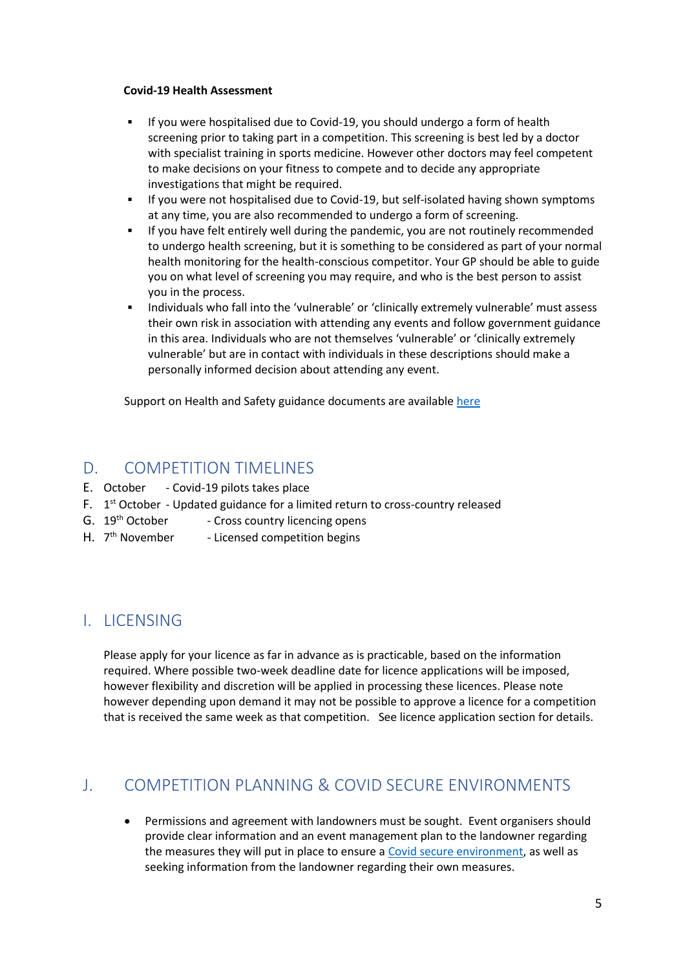#### **Covid-19 Health Assessment**

- If you were hospitalised due to Covid-19, you should undergo a form of health screening prior to taking part in a competition. This screening is best led by a doctor with specialist training in sports medicine. However other doctors may feel competent to make decisions on your fitness to compete and to decide any appropriate investigations that might be required.
- If you were not hospitalised due to Covid-19, but self-isolated having shown symptoms at any time, you are also recommended to undergo a form of screening.
- If you have felt entirely well during the pandemic, you are not routinely recommended to undergo health screening, but it is something to be considered as part of your normal health monitoring for the health-conscious competitor. Your GP should be able to guide you on what level of screening you may require, and who is the best person to assist you in the process.
- Individuals who fall into the 'vulnerable' or 'clinically extremely vulnerable' must assess their own risk in association with attending any events and follow government guidance in this area. Individuals who are not themselves 'vulnerable' or 'clinically extremely vulnerable' but are in contact with individuals in these descriptions should make a personally informed decision about attending any event.

Support on Health and Safety guidance documents are availabl[e here](https://d192th1lqal2xm.cloudfront.net/2020/07/EA-return-guidance-health-and-safety-v4b.pdf)

### <span id="page-4-0"></span>D. COMPETITION TIMELINES

- E. October Covid-19 pilots takes place
- F. 1<sup>st</sup> October Updated guidance for a limited return to cross-country released
- G. 19<sup>th</sup> October Cross country licencing opens
- H. 7<sup>th</sup> November - Licensed competition begins

# <span id="page-4-1"></span>I. LICENSING

Please apply for your licence as far in advance as is practicable, based on the information required. Where possible two-week deadline date for licence applications will be imposed, however flexibility and discretion will be applied in processing these licences. Please note however depending upon demand it may not be possible to approve a licence for a competition that is received the same week as that competition. See licence application section for details.

# <span id="page-4-2"></span>J. COMPETITION PLANNING & COVID SECURE ENVIRONMENTS

• Permissions and agreement with landowners must be sought. Event organisers should provide clear information and an event management plan to the landowner regarding the measures they will put in place to ensure a [Covid secure environment,](https://www.englandathletics.org/athletics-and-running?media-alias=b515f99cc73d6cf8c6de) as well as seeking information from the landowner regarding their own measures.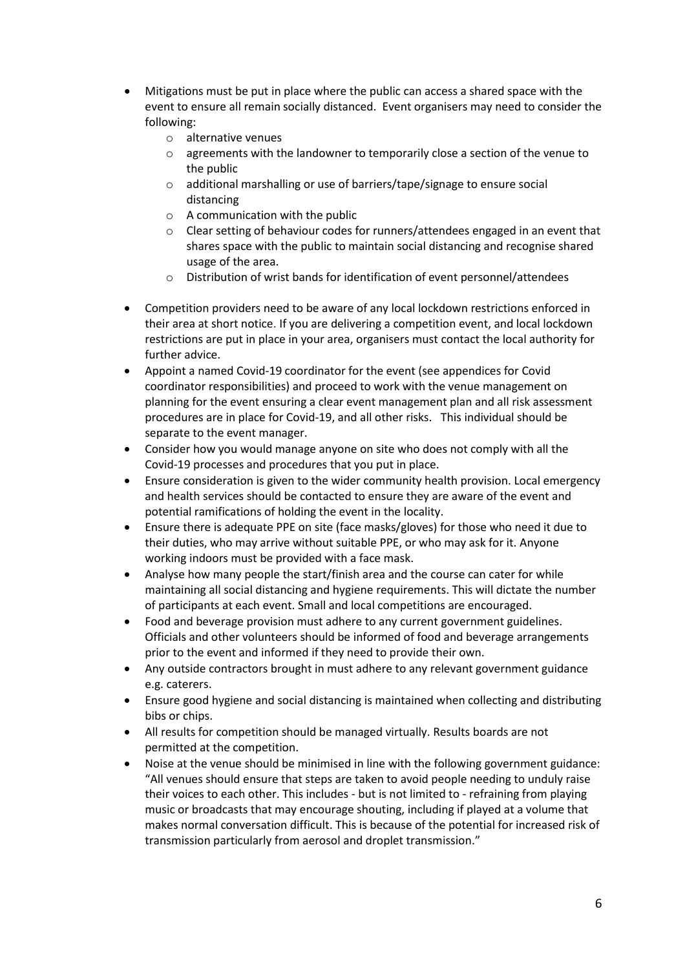- Mitigations must be put in place where the public can access a shared space with the event to ensure all remain socially distanced. Event organisers may need to consider the following:
	- o alternative venues
	- o agreements with the landowner to temporarily close a section of the venue to the public
	- o additional marshalling or use of barriers/tape/signage to ensure social distancing
	- o A communication with the public
	- $\circ$  Clear setting of behaviour codes for runners/attendees engaged in an event that shares space with the public to maintain social distancing and recognise shared usage of the area.
	- o Distribution of wrist bands for identification of event personnel/attendees
- Competition providers need to be aware of any local lockdown restrictions enforced in their area at short notice. If you are delivering a competition event, and local lockdown restrictions are put in place in your area, organisers must contact the local authority for further advice.
- Appoint a named Covid-19 coordinator for the event (see appendices for Covid coordinator responsibilities) and proceed to work with the venue management on planning for the event ensuring a clear event management plan and all risk assessment procedures are in place for Covid-19, and all other risks. This individual should be separate to the event manager.
- Consider how you would manage anyone on site who does not comply with all the Covid-19 processes and procedures that you put in place.
- Ensure consideration is given to the wider community health provision. Local emergency and health services should be contacted to ensure they are aware of the event and potential ramifications of holding the event in the locality.
- Ensure there is adequate PPE on site (face masks/gloves) for those who need it due to their duties, who may arrive without suitable PPE, or who may ask for it. Anyone working indoors must be provided with a face mask.
- Analyse how many people the start/finish area and the course can cater for while maintaining all social distancing and hygiene requirements. This will dictate the number of participants at each event. Small and local competitions are encouraged.
- Food and beverage provision must adhere to any current government guidelines. Officials and other volunteers should be informed of food and beverage arrangements prior to the event and informed if they need to provide their own.
- Any outside contractors brought in must adhere to any relevant government guidance e.g. caterers.
- Ensure good hygiene and social distancing is maintained when collecting and distributing bibs or chips.
- All results for competition should be managed virtually. Results boards are not permitted at the competition.
- Noise at the venue should be minimised in line with the following government guidance: "All venues should ensure that steps are taken to avoid people needing to unduly raise their voices to each other. This includes - but is not limited to - refraining from playing music or broadcasts that may encourage shouting, including if played at a volume that makes normal conversation difficult. This is because of the potential for increased risk of transmission particularly from aerosol and droplet transmission."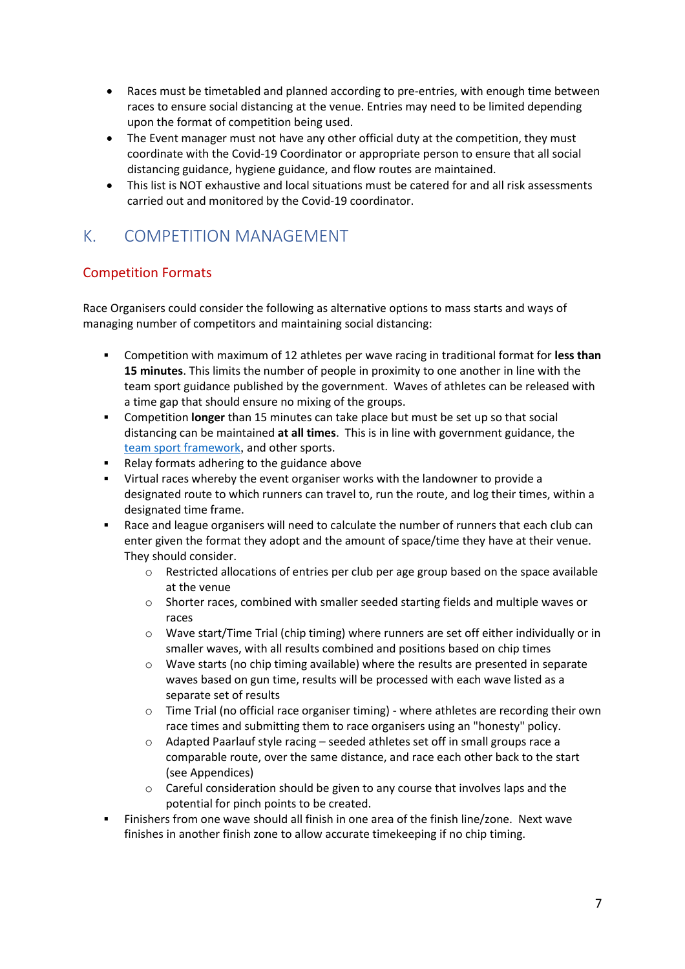- Races must be timetabled and planned according to pre-entries, with enough time between races to ensure social distancing at the venue. Entries may need to be limited depending upon the format of competition being used.
- The Event manager must not have any other official duty at the competition, they must coordinate with the Covid-19 Coordinator or appropriate person to ensure that all social distancing guidance, hygiene guidance, and flow routes are maintained.
- This list is NOT exhaustive and local situations must be catered for and all risk assessments carried out and monitored by the Covid-19 coordinator.

# <span id="page-6-0"></span>K. COMPETITION MANAGEMENT

# Competition Formats

Race Organisers could consider the following as alternative options to mass starts and ways of managing number of competitors and maintaining social distancing:

- Competition with maximum of 12 athletes per wave racing in traditional format for **less than 15 minutes**. This limits the number of people in proximity to one another in line with the team sport guidance published by the government. Waves of athletes can be released with a time gap that should ensure no mixing of the groups.
- Competition **longer** than 15 minutes can take place but must be set up so that social distancing can be maintained **at all times**. This is in line with government guidance, the [team sport framework](https://www.gov.uk/government/publications/coronavirus-covid-19-guidance-on-phased-return-of-sport-and-recreation/return-to-recreational-team-sport-framework), and other sports.
- Relay formats adhering to the guidance above
- Virtual races whereby the event organiser works with the landowner to provide a designated route to which runners can travel to, run the route, and log their times, within a designated time frame.
- Race and league organisers will need to calculate the number of runners that each club can enter given the format they adopt and the amount of space/time they have at their venue. They should consider.
	- $\circ$  Restricted allocations of entries per club per age group based on the space available at the venue
	- o Shorter races, combined with smaller seeded starting fields and multiple waves or races
	- o Wave start/Time Trial (chip timing) where runners are set off either individually or in smaller waves, with all results combined and positions based on chip times
	- o Wave starts (no chip timing available) where the results are presented in separate waves based on gun time, results will be processed with each wave listed as a separate set of results
	- $\circ$  Time Trial (no official race organiser timing) where athletes are recording their own race times and submitting them to race organisers using an "honesty" policy.
	- o Adapted Paarlauf style racing seeded athletes set off in small groups race a comparable route, over the same distance, and race each other back to the start (see Appendices)
	- $\circ$  Careful consideration should be given to any course that involves laps and the potential for pinch points to be created.
- Finishers from one wave should all finish in one area of the finish line/zone. Next wave finishes in another finish zone to allow accurate timekeeping if no chip timing.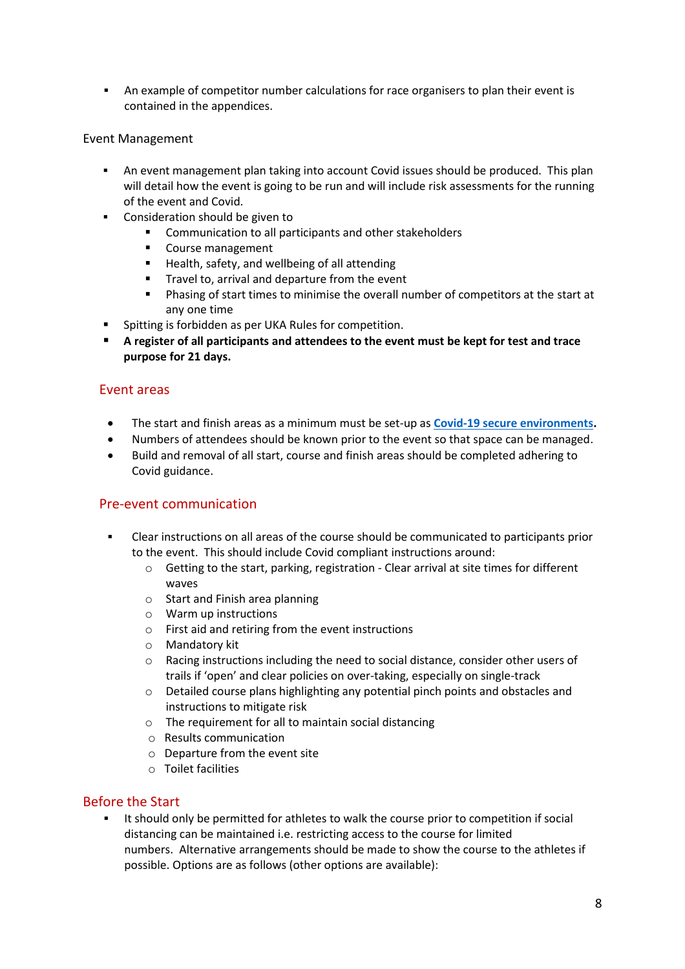■ An example of competitor number calculations for race organisers to plan their event is contained in the appendices.

#### Event Management

- **•** An event management plan taking into account Covid issues should be produced. This plan will detail how the event is going to be run and will include risk assessments for the running of the event and Covid.
- Consideration should be given to
	- Communication to all participants and other stakeholders
	- Course management
	- Health, safety, and wellbeing of all attending
	- Travel to, arrival and departure from the event
	- Phasing of start times to minimise the overall number of competitors at the start at any one time
- Spitting is forbidden as per UKA Rules for competition.
- **A register of all participants and attendees to the event must be kept for test and trace purpose for 21 days.**

### Event areas

- The start and finish areas as a minimum must be set-up as **[Covid-19 secure environments.](https://www.englandathletics.org/athletics-and-running?media-alias=b515f99cc73d6cf8c6de)**
- Numbers of attendees should be known prior to the event so that space can be managed.
- Build and removal of all start, course and finish areas should be completed adhering to Covid guidance.

#### Pre-event communication

- Clear instructions on all areas of the course should be communicated to participants prior to the event. This should include Covid compliant instructions around:
	- $\circ$  Getting to the start, parking, registration Clear arrival at site times for different waves
	- o Start and Finish area planning
	- o Warm up instructions
	- o First aid and retiring from the event instructions
	- o Mandatory kit
	- o Racing instructions including the need to social distance, consider other users of trails if 'open' and clear policies on over-taking, especially on single-track
	- o Detailed course plans highlighting any potential pinch points and obstacles and instructions to mitigate risk
	- o The requirement for all to maintain social distancing
	- o Results communication
	- o Departure from the event site
	- o Toilet facilities

### Before the Start

It should only be permitted for athletes to walk the course prior to competition if social distancing can be maintained i.e. restricting access to the course for limited numbers. Alternative arrangements should be made to show the course to the athletes if possible. Options are as follows (other options are available):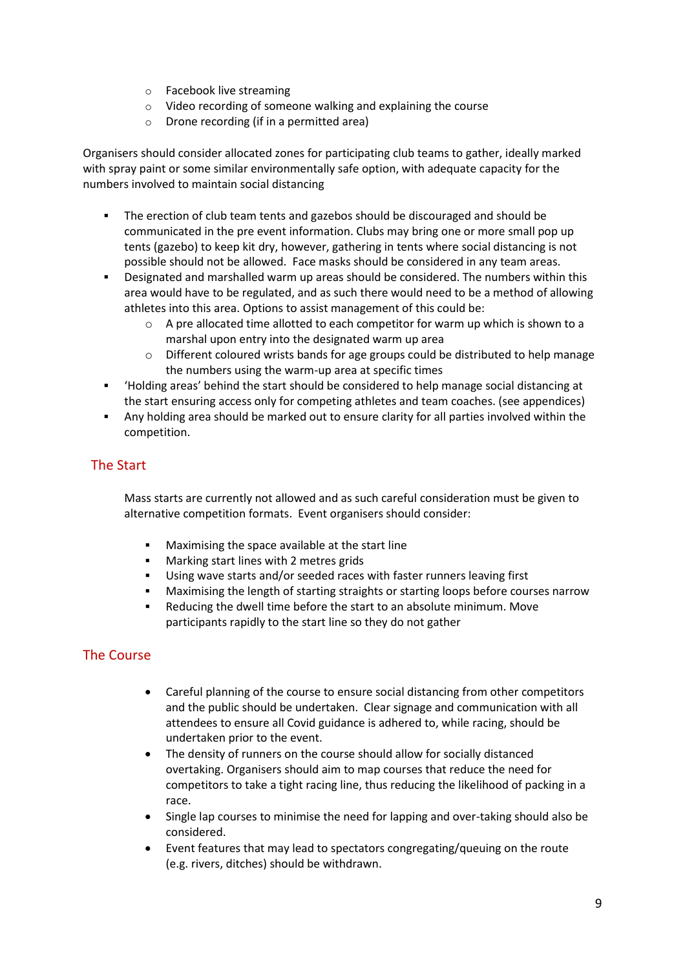- o Facebook live streaming
- o Video recording of someone walking and explaining the course
- o Drone recording (if in a permitted area)

Organisers should consider allocated zones for participating club teams to gather, ideally marked with spray paint or some similar environmentally safe option, with adequate capacity for the numbers involved to maintain social distancing

- The erection of club team tents and gazebos should be discouraged and should be communicated in the pre event information. Clubs may bring one or more small pop up tents (gazebo) to keep kit dry, however, gathering in tents where social distancing is not possible should not be allowed. Face masks should be considered in any team areas.
- Designated and marshalled warm up areas should be considered. The numbers within this area would have to be regulated, and as such there would need to be a method of allowing athletes into this area. Options to assist management of this could be:
	- $\circ$  A pre allocated time allotted to each competitor for warm up which is shown to a marshal upon entry into the designated warm up area
	- o Different coloured wrists bands for age groups could be distributed to help manage the numbers using the warm-up area at specific times
- 'Holding areas' behind the start should be considered to help manage social distancing at the start ensuring access only for competing athletes and team coaches. (see appendices)
- Any holding area should be marked out to ensure clarity for all parties involved within the competition.

### The Start

Mass starts are currently not allowed and as such careful consideration must be given to alternative competition formats. Event organisers should consider:

- Maximising the space available at the start line
- Marking start lines with 2 metres grids
- Using wave starts and/or seeded races with faster runners leaving first
- Maximising the length of starting straights or starting loops before courses narrow
- Reducing the dwell time before the start to an absolute minimum. Move participants rapidly to the start line so they do not gather

### The Course

- Careful planning of the course to ensure social distancing from other competitors and the public should be undertaken. Clear signage and communication with all attendees to ensure all Covid guidance is adhered to, while racing, should be undertaken prior to the event.
- The density of runners on the course should allow for socially distanced overtaking. Organisers should aim to map courses that reduce the need for competitors to take a tight racing line, thus reducing the likelihood of packing in a race.
- Single lap courses to minimise the need for lapping and over-taking should also be considered.
- Event features that may lead to spectators congregating/queuing on the route (e.g. rivers, ditches) should be withdrawn.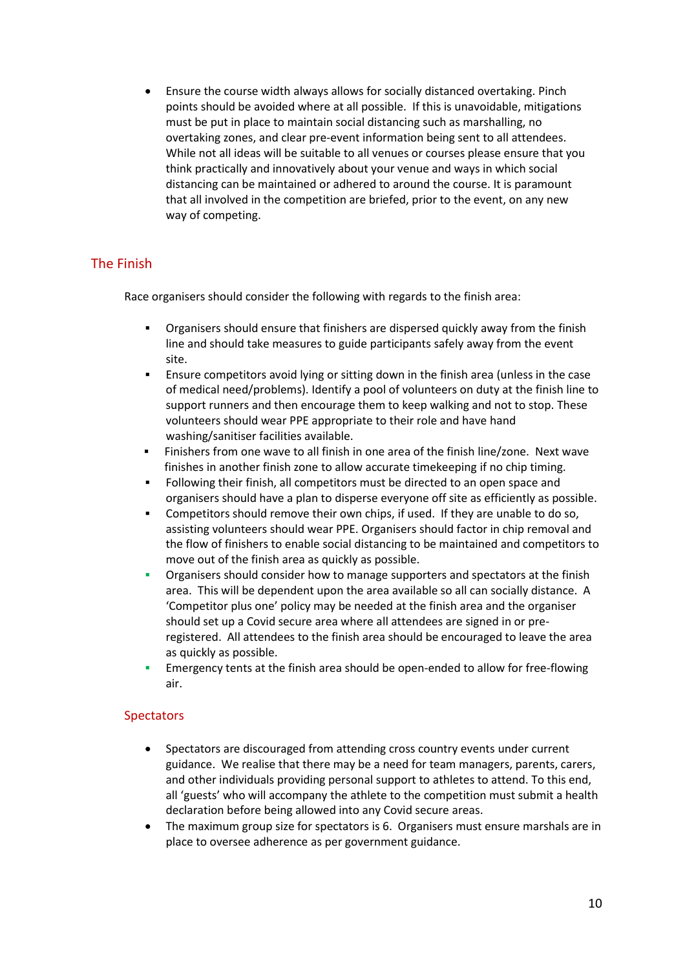• Ensure the course width always allows for socially distanced overtaking. Pinch points should be avoided where at all possible. If this is unavoidable, mitigations must be put in place to maintain social distancing such as marshalling, no overtaking zones, and clear pre-event information being sent to all attendees. While not all ideas will be suitable to all venues or courses please ensure that you think practically and innovatively about your venue and ways in which social distancing can be maintained or adhered to around the course. It is paramount that all involved in the competition are briefed, prior to the event, on any new way of competing.

### The Finish

Race organisers should consider the following with regards to the finish area:

- Organisers should ensure that finishers are dispersed quickly away from the finish line and should take measures to guide participants safely away from the event site.
- Ensure competitors avoid lying or sitting down in the finish area (unless in the case of medical need/problems). Identify a pool of volunteers on duty at the finish line to support runners and then encourage them to keep walking and not to stop. These volunteers should wear PPE appropriate to their role and have hand washing/sanitiser facilities available.
- Finishers from one wave to all finish in one area of the finish line/zone. Next wave finishes in another finish zone to allow accurate timekeeping if no chip timing.
- Following their finish, all competitors must be directed to an open space and organisers should have a plan to disperse everyone off site as efficiently as possible.
- Competitors should remove their own chips, if used. If they are unable to do so, assisting volunteers should wear PPE. Organisers should factor in chip removal and the flow of finishers to enable social distancing to be maintained and competitors to move out of the finish area as quickly as possible.
- Organisers should consider how to manage supporters and spectators at the finish area. This will be dependent upon the area available so all can socially distance. A 'Competitor plus one' policy may be needed at the finish area and the organiser should set up a Covid secure area where all attendees are signed in or preregistered. All attendees to the finish area should be encouraged to leave the area as quickly as possible.
- Emergency tents at the finish area should be open-ended to allow for free-flowing air.

#### **Spectators**

- Spectators are discouraged from attending cross country events under current guidance. We realise that there may be a need for team managers, parents, carers, and other individuals providing personal support to athletes to attend. To this end, all 'guests' who will accompany the athlete to the competition must submit a health declaration before being allowed into any Covid secure areas.
- The maximum group size for spectators is 6. Organisers must ensure marshals are in place to oversee adherence as per government guidance.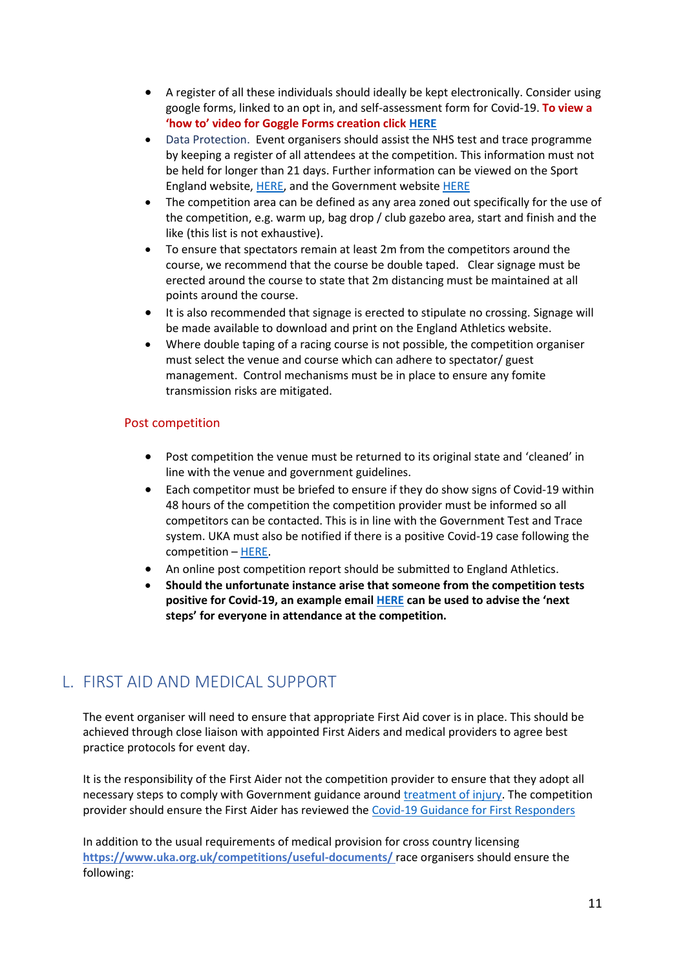- A register of all these individuals should ideally be kept electronically. Consider using google forms, linked to an opt in, and self-assessment form for Covid-19. **To view a 'how to' video for Goggle Forms creation click [HERE](https://www.englandathletics.org/resources/category/return-to-competition-covid/volunteer-resources/)**
- Data Protection. Event organisers should assist the NHS test and trace programme by keeping a register of all attendees at the competition. This information must not be held for longer than 21 days. Further information can be viewed on the Sport England website[, HERE,](https://www.sportengland.org/how-we-can-help/coronavirus/return-play/frequently-asked-questions-return-sport-and-activity#testandtrace) and the Government website [HERE](https://www.gov.uk/guidance/maintaining-records-of-staff-customers-and-visitors-to-support-nhs-test-and-trace)
- The competition area can be defined as any area zoned out specifically for the use of the competition, e.g. warm up, bag drop / club gazebo area, start and finish and the like (this list is not exhaustive).
- To ensure that spectators remain at least 2m from the competitors around the course, we recommend that the course be double taped. Clear signage must be erected around the course to state that 2m distancing must be maintained at all points around the course.
- It is also recommended that signage is erected to stipulate no crossing. Signage will be made available to download and print on the England Athletics website.
- Where double taping of a racing course is not possible, the competition organiser must select the venue and course which can adhere to spectator/ guest management. Control mechanisms must be in place to ensure any fomite transmission risks are mitigated.

#### Post competition

- Post competition the venue must be returned to its original state and 'cleaned' in line with the venue and government guidelines.
- Each competitor must be briefed to ensure if they do show signs of Covid-19 within 48 hours of the competition the competition provider must be informed so all competitors can be contacted. This is in line with the Government Test and Trace system. UKA must also be notified if there is a positive Covid-19 case following the competition – [HERE.](https://www.uka.org.uk/governance/health-safety/covid-19-form/)
- An online post competition report should be submitted to England Athletics.
- **Should the unfortunate instance arise that someone from the competition tests positive for Covid-19, an example email [HERE](https://www.englandathletics.org/resources/category/return-to-competition-covid/) can be used to advise the 'next steps' for everyone in attendance at the competition.**

# <span id="page-10-0"></span>L. FIRST AID AND MEDICAL SUPPORT

The event organiser will need to ensure that appropriate First Aid cover is in place. This should be achieved through close liaison with appointed First Aiders and medical providers to agree best practice protocols for event day.

It is the responsibility of the First Aider not the competition provider to ensure that they adopt all necessary steps to comply with Government guidance aroun[d treatment of injury.](https://www.gov.uk/government/publications/coronavirus-covid-19-guidance-on-phased-return-of-sport-and-recreation/return-to-recreational-team-sport-framework) The competition provider should ensure the First Aider has reviewed the [Covid-19 Guidance for First Responders](https://www.gov.uk/government/publications/novel-coronavirus-2019-ncov-interim-guidance-for-first-responders/interim-guidance-for-first-responders-and-others-in-close-contact-with-symptomatic-people-with-potential-2019-ncov)

In addition to the usual requirements of medical provision for cross country licensing **<https://www.uka.org.uk/competitions/useful-documents/>** race organisers should ensure the following: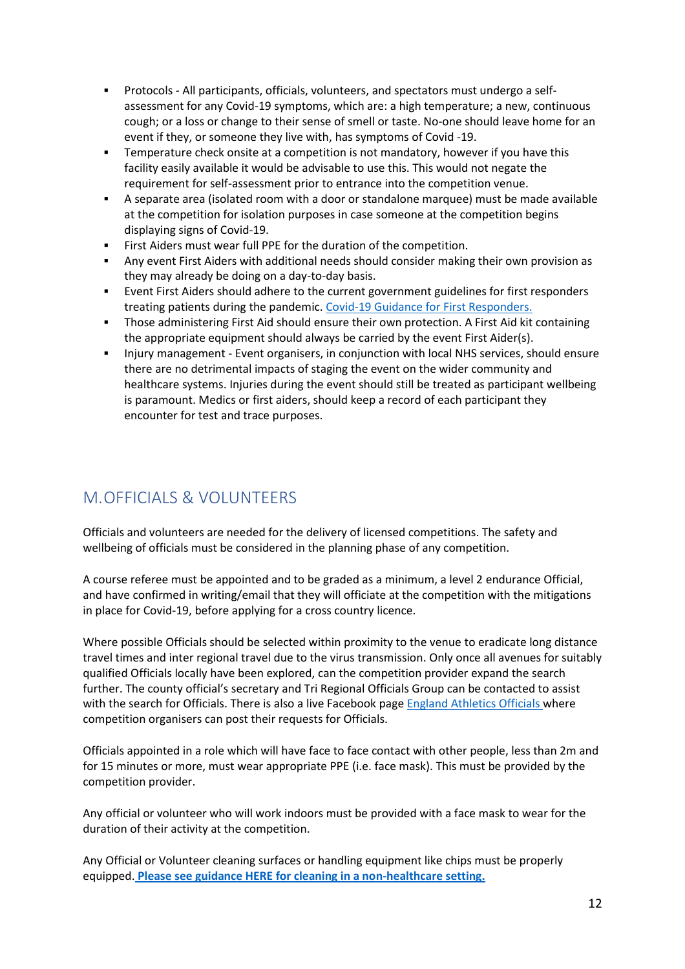- Protocols All participants, officials, volunteers, and spectators must undergo a selfassessment for any Covid-19 symptoms, which are: a high temperature; a new, continuous cough; or a loss or change to their sense of smell or taste. No-one should leave home for an event if they, or someone they live with, has symptoms of Covid -19.
- Temperature check onsite at a competition is not mandatory, however if you have this facility easily available it would be advisable to use this. This would not negate the requirement for self-assessment prior to entrance into the competition venue.
- A separate area (isolated room with a door or standalone marquee) must be made available at the competition for isolation purposes in case someone at the competition begins displaying signs of Covid-19.
- First Aiders must wear full PPE for the duration of the competition.
- Any event First Aiders with additional needs should consider making their own provision as they may already be doing on a day-to-day basis.
- Event First Aiders should adhere to the current government guidelines for first responders treating patients during the pandemic. [Covid-19 Guidance for First Responders.](https://www.gov.uk/government/publications/novel-coronavirus-2019-ncov-interim-guidance-for-first-responders/interim-guidance-for-first-responders-and-others-in-close-contact-with-symptomatic-people-with-potential-2019-ncov)
- **•** Those administering First Aid should ensure their own protection. A First Aid kit containing the appropriate equipment should always be carried by the event First Aider(s).
- **•** Injury management Event organisers, in conjunction with local NHS services, should ensure there are no detrimental impacts of staging the event on the wider community and healthcare systems. Injuries during the event should still be treated as participant wellbeing is paramount. Medics or first aiders, should keep a record of each participant they encounter for test and trace purposes.

# <span id="page-11-0"></span>M.OFFICIALS & VOLUNTEERS

Officials and volunteers are needed for the delivery of licensed competitions. The safety and wellbeing of officials must be considered in the planning phase of any competition.

A course referee must be appointed and to be graded as a minimum, a level 2 endurance Official, and have confirmed in writing/email that they will officiate at the competition with the mitigations in place for Covid-19, before applying for a cross country licence.

Where possible Officials should be selected within proximity to the venue to eradicate long distance travel times and inter regional travel due to the virus transmission. Only once all avenues for suitably qualified Officials locally have been explored, can the competition provider expand the search further. The county official's secretary and Tri Regional Officials Group can be contacted to assist with the search for Officials. There is also a live Facebook pag[e England Athletics Officials w](https://www.facebook.com/groups/EnglandAthleticsOfficials)here competition organisers can post their requests for Officials.

Officials appointed in a role which will have face to face contact with other people, less than 2m and for 15 minutes or more, must wear appropriate PPE (i.e. face mask). This must be provided by the competition provider.

Any official or volunteer who will work indoors must be provided with a face mask to wear for the duration of their activity at the competition.

Any Official or Volunteer cleaning surfaces or handling equipment like chips must be properly equipped. **[Please see guidance HERE for cleaning in a non-healthcare setting.](https://www.gov.uk/government/publications/covid-19-decontamination-in-non-healthcare-settings/covid-19-decontamination-in-non-healthcare-settings)**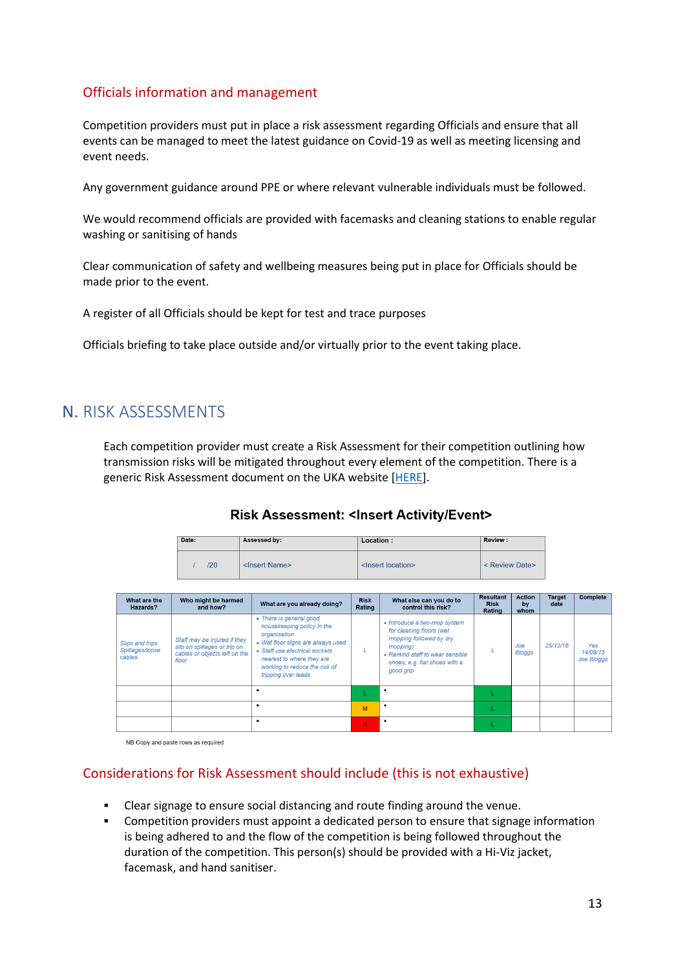### Officials information and management

Competition providers must put in place a risk assessment regarding Officials and ensure that all events can be managed to meet the latest guidance on Covid-19 as well as meeting licensing and event needs.

Any government guidance around PPE or where relevant vulnerable individuals must be followed.

We would recommend officials are provided with facemasks and cleaning stations to enable regular washing or sanitising of hands

Clear communication of safety and wellbeing measures being put in place for Officials should be made prior to the event.

A register of all Officials should be kept for test and trace purposes

Officials briefing to take place outside and/or virtually prior to the event taking place.

# <span id="page-12-0"></span>N. RISK ASSESSMENTS

Each competition provider must create a Risk Assessment for their competition outlining how transmission risks will be mitigated throughout every element of the competition. There is a generic Risk Assessment document on the UKA website [\[HERE\]](https://www.uka.org.uk/governance/health-safety/risk-assessments/).

### Risk Assessment: < Insert Activity/Event>

| Date: | Assessed by:              | Location:                     | Review:        |  |
|-------|---------------------------|-------------------------------|----------------|--|
| 120   | <insert name=""></insert> | <lnsert location=""></lnsert> | < Review Date> |  |

| What are the<br>Hazards?                            | Who might be harmed<br>and how?                                                                         | What are you already doing?                                                                                                                                                                                                       | <b>Risk</b><br>Rating | What else can you do to<br>control this risk?                                                                                                                                    | <b>Resultant</b><br><b>Risk</b><br>Rating | <b>Action</b><br>by<br>whom | Target<br>date | Complete                             |
|-----------------------------------------------------|---------------------------------------------------------------------------------------------------------|-----------------------------------------------------------------------------------------------------------------------------------------------------------------------------------------------------------------------------------|-----------------------|----------------------------------------------------------------------------------------------------------------------------------------------------------------------------------|-------------------------------------------|-----------------------------|----------------|--------------------------------------|
| <b>Slips and trips</b><br>Spillages/loose<br>cables | Staff may be injured if they<br>slip on spillages or trip on<br>cables or objects left on the<br>floor. | • There is general good<br>housekeeping policy in the<br>organisation<br>• Wet floor signs are always used<br>• Staff use electrical sockets<br>nearest to where they are<br>working to reduce the risk of<br>tripping over leads |                       | • Introduce a two-mop system<br>for cleaning floors (wet<br>mopping followed by dry<br>mopping)<br>• Remind staff to wear sensible<br>shoes, e.g. flat shoes with a<br>good grip |                                           | Joe<br>Bloggs               | 25/12/16       | Yes<br>14/09/15<br><b>Joe Bloggs</b> |
|                                                     |                                                                                                         |                                                                                                                                                                                                                                   |                       | ٠                                                                                                                                                                                |                                           |                             |                |                                      |
|                                                     |                                                                                                         |                                                                                                                                                                                                                                   | M                     | ٠                                                                                                                                                                                |                                           |                             |                |                                      |
|                                                     |                                                                                                         |                                                                                                                                                                                                                                   | н.                    | ٠                                                                                                                                                                                |                                           |                             |                |                                      |

NB Copy and paste rows as required

### Considerations for Risk Assessment should include (this is not exhaustive)

- Clear signage to ensure social distancing and route finding around the venue.
- **•** Competition providers must appoint a dedicated person to ensure that signage information is being adhered to and the flow of the competition is being followed throughout the duration of the competition. This person(s) should be provided with a Hi-Viz jacket, facemask, and hand sanitiser.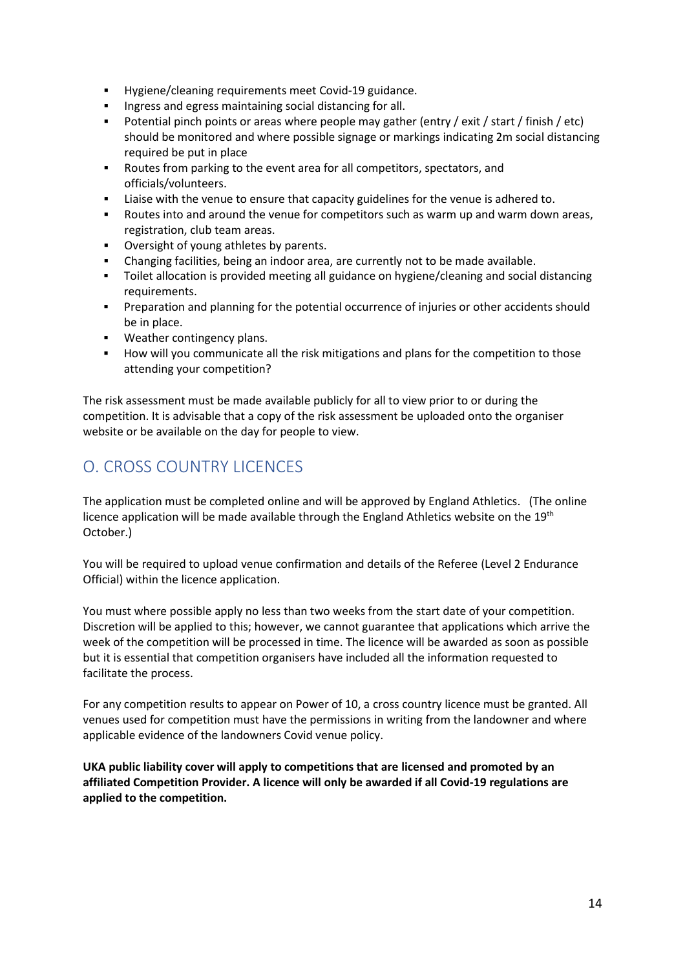- Hygiene/cleaning requirements meet Covid-19 guidance.
- Ingress and egress maintaining social distancing for all.
- Potential pinch points or areas where people may gather (entry / exit / start / finish / etc) should be monitored and where possible signage or markings indicating 2m social distancing required be put in place
- Routes from parking to the event area for all competitors, spectators, and officials/volunteers.
- **EXECT** Liaise with the venue to ensure that capacity guidelines for the venue is adhered to.
- Routes into and around the venue for competitors such as warm up and warm down areas, registration, club team areas.
- Oversight of young athletes by parents.
- Changing facilities, being an indoor area, are currently not to be made available.
- Toilet allocation is provided meeting all guidance on hygiene/cleaning and social distancing requirements.
- **•** Preparation and planning for the potential occurrence of injuries or other accidents should be in place.
- Weather contingency plans.
- How will you communicate all the risk mitigations and plans for the competition to those attending your competition?

The risk assessment must be made available publicly for all to view prior to or during the competition. It is advisable that a copy of the risk assessment be uploaded onto the organiser website or be available on the day for people to view.

# <span id="page-13-0"></span>O. CROSS COUNTRY LICENCES

The application must be completed online and will be approved by England Athletics. (The online licence application will be made available through the England Athletics website on the 19<sup>th</sup> October.)

You will be required to upload venue confirmation and details of the Referee (Level 2 Endurance Official) within the licence application.

You must where possible apply no less than two weeks from the start date of your competition. Discretion will be applied to this; however, we cannot guarantee that applications which arrive the week of the competition will be processed in time. The licence will be awarded as soon as possible but it is essential that competition organisers have included all the information requested to facilitate the process.

For any competition results to appear on Power of 10, a cross country licence must be granted. All venues used for competition must have the permissions in writing from the landowner and where applicable evidence of the landowners Covid venue policy.

**UKA public liability cover will apply to competitions that are licensed and promoted by an affiliated Competition Provider. A licence will only be awarded if all Covid-19 regulations are applied to the competition.**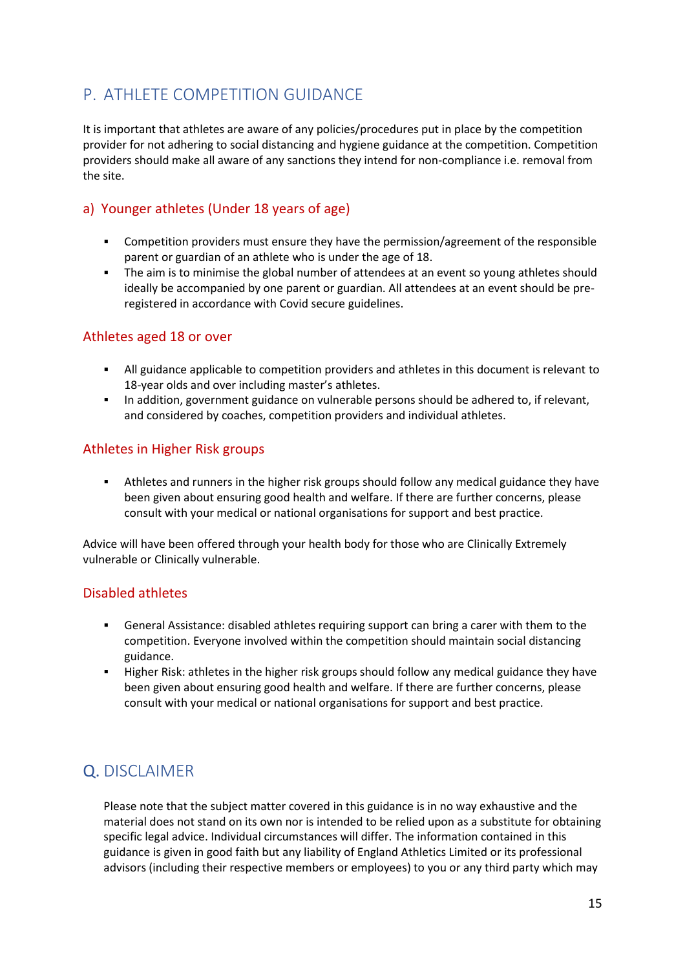# <span id="page-14-0"></span>P. ATHLETE COMPETITION GUIDANCE

It is important that athletes are aware of any policies/procedures put in place by the competition provider for not adhering to social distancing and hygiene guidance at the competition. Competition providers should make all aware of any sanctions they intend for non-compliance i.e. removal from the site.

### a) Younger athletes (Under 18 years of age)

- Competition providers must ensure they have the permission/agreement of the responsible parent or guardian of an athlete who is under the age of 18.
- **•** The aim is to minimise the global number of attendees at an event so young athletes should ideally be accompanied by one parent or guardian. All attendees at an event should be preregistered in accordance with Covid secure guidelines.

### Athletes aged 18 or over

- All guidance applicable to competition providers and athletes in this document is relevant to 18-year olds and over including master's athletes.
- **■** In addition, government guidance on vulnerable persons should be adhered to, if relevant, and considered by coaches, competition providers and individual athletes.

### Athletes in Higher Risk groups

Athletes and runners in the higher risk groups should follow any medical guidance they have been given about ensuring good health and welfare. If there are further concerns, please consult with your medical or national organisations for support and best practice.

Advice will have been offered through your health body for those who are Clinically Extremely vulnerable or Clinically vulnerable.

### Disabled athletes

- General Assistance: disabled athletes requiring support can bring a carer with them to the competition. Everyone involved within the competition should maintain social distancing guidance.
- Higher Risk: athletes in the higher risk groups should follow any medical guidance they have been given about ensuring good health and welfare. If there are further concerns, please consult with your medical or national organisations for support and best practice.

# <span id="page-14-1"></span>Q. DISCLAIMER

Please note that the subject matter covered in this guidance is in no way exhaustive and the material does not stand on its own nor is intended to be relied upon as a substitute for obtaining specific legal advice. Individual circumstances will differ. The information contained in this guidance is given in good faith but any liability of England Athletics Limited or its professional advisors (including their respective members or employees) to you or any third party which may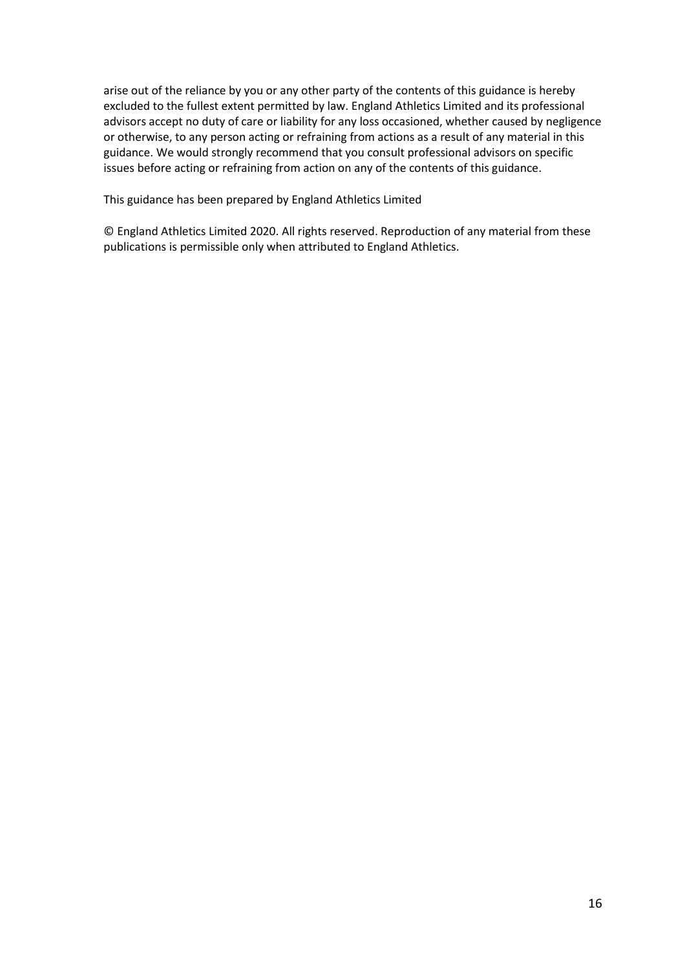arise out of the reliance by you or any other party of the contents of this guidance is hereby excluded to the fullest extent permitted by law. England Athletics Limited and its professional advisors accept no duty of care or liability for any loss occasioned, whether caused by negligence or otherwise, to any person acting or refraining from actions as a result of any material in this guidance. We would strongly recommend that you consult professional advisors on specific issues before acting or refraining from action on any of the contents of this guidance.

This guidance has been prepared by England Athletics Limited

© England Athletics Limited 2020. All rights reserved. Reproduction of any material from these publications is permissible only when attributed to England Athletics.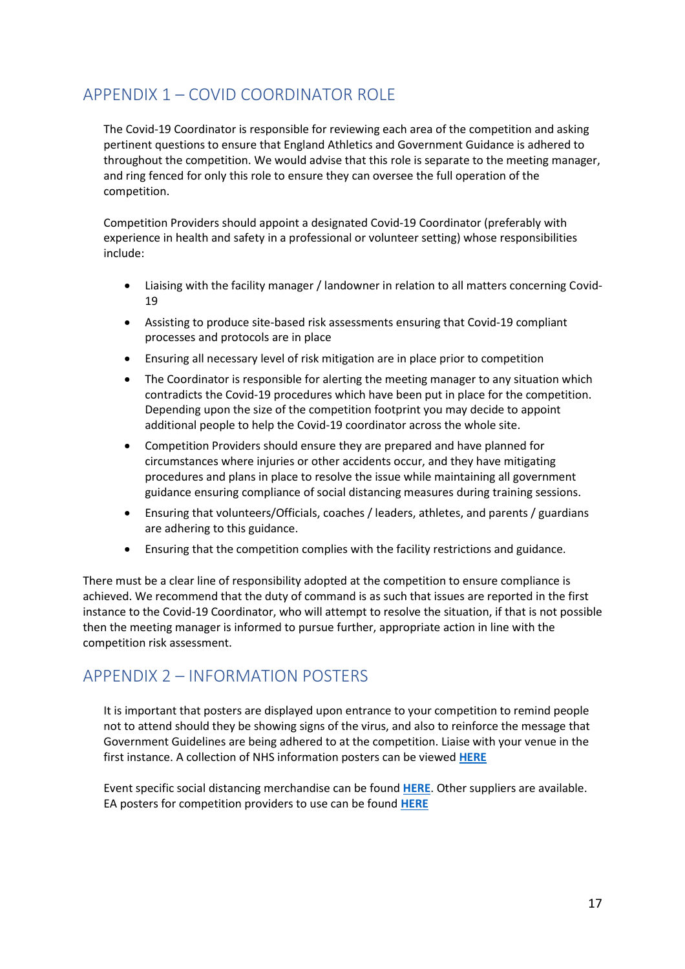# <span id="page-16-0"></span>APPENDIX 1 – COVID COORDINATOR ROLE

The Covid-19 Coordinator is responsible for reviewing each area of the competition and asking pertinent questions to ensure that England Athletics and Government Guidance is adhered to throughout the competition. We would advise that this role is separate to the meeting manager, and ring fenced for only this role to ensure they can oversee the full operation of the competition.

Competition Providers should appoint a designated Covid-19 Coordinator (preferably with experience in health and safety in a professional or volunteer setting) whose responsibilities include:

- Liaising with the facility manager / landowner in relation to all matters concerning Covid-19
- Assisting to produce site-based risk assessments ensuring that Covid-19 compliant processes and protocols are in place
- Ensuring all necessary level of risk mitigation are in place prior to competition
- The Coordinator is responsible for alerting the meeting manager to any situation which contradicts the Covid-19 procedures which have been put in place for the competition. Depending upon the size of the competition footprint you may decide to appoint additional people to help the Covid-19 coordinator across the whole site.
- Competition Providers should ensure they are prepared and have planned for circumstances where injuries or other accidents occur, and they have mitigating procedures and plans in place to resolve the issue while maintaining all government guidance ensuring compliance of social distancing measures during training sessions.
- Ensuring that volunteers/Officials, coaches / leaders, athletes, and parents / guardians are adhering to this guidance.
- Ensuring that the competition complies with the facility restrictions and guidance.

There must be a clear line of responsibility adopted at the competition to ensure compliance is achieved. We recommend that the duty of command is as such that issues are reported in the first instance to the Covid-19 Coordinator, who will attempt to resolve the situation, if that is not possible then the meeting manager is informed to pursue further, appropriate action in line with the competition risk assessment.

# <span id="page-16-1"></span>APPENDIX 2 – INFORMATION POSTERS

It is important that posters are displayed upon entrance to your competition to remind people not to attend should they be showing signs of the virus, and also to reinforce the message that Government Guidelines are being adhered to at the competition. Liaise with your venue in the first instance. A collection of NHS information posters can be viewed **[HERE](https://coronavirusresources.phe.gov.uk/nhs-resources-facilities/resources/isolate-your-household-nhs-resources/)**

Event specific social distancing merchandise can be found **[HERE](https://www.runningimp.co.uk/products/new-social-distancing-products.html)**. Other suppliers are available. EA posters for competition providers to use can be found **[HERE](https://www.englandathletics.org/resources/category/return-to-competition-covid/competition-signage/)**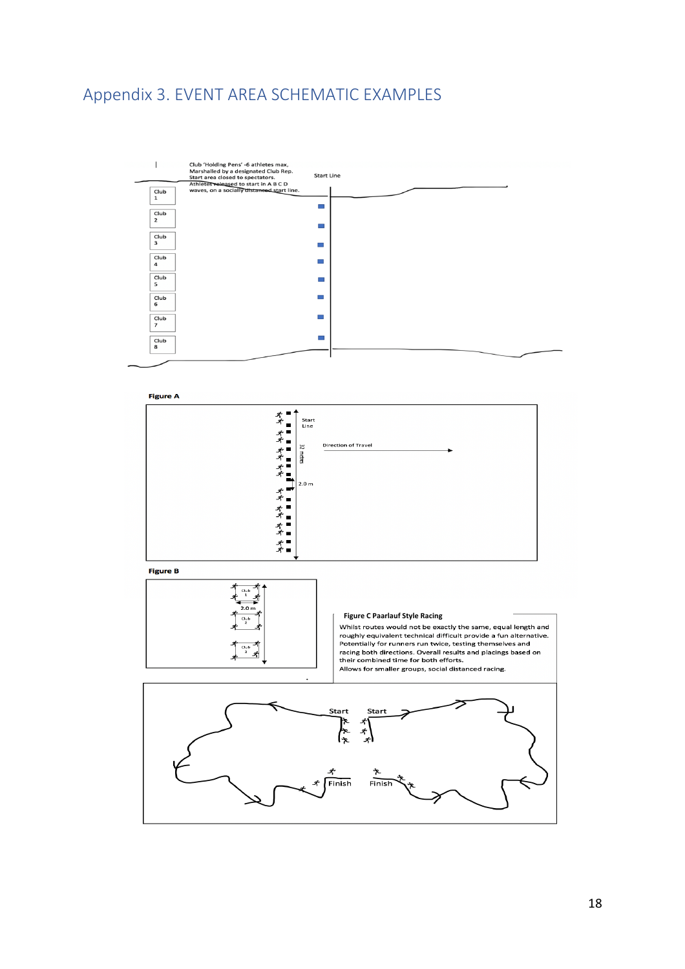# <span id="page-17-0"></span>Appendix 3. EVENT AREA SCHEMATIC EXAMPLES







**Figure C Paarlauf Style Racing**will require a would not be exactly the same, equal religion and<br>roughly equivalent technical difficult provide a fun alternative.<br>Potentially for runners run twice, testing themselves and racing both directions. Overall results and placings based on<br>their combined time for both efforts. Allows for smaller groups, social distanced racing.